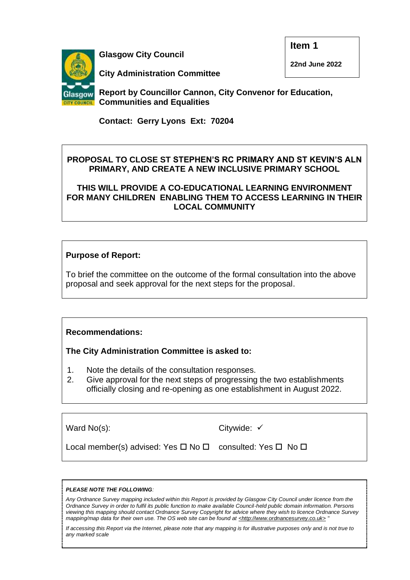**Glasgow City Council**

**Item 1**

**22nd June 2022**



**City Administration Committee** 

**Report by Councillor Cannon, City Convenor for Education, Communities and Equalities**

**Contact: Gerry Lyons Ext: 70204**

# **PROPOSAL TO CLOSE ST STEPHEN'S RC PRIMARY AND ST KEVIN'S ALN PRIMARY, AND CREATE A NEW INCLUSIVE PRIMARY SCHOOL**

**THIS WILL PROVIDE A CO-EDUCATIONAL LEARNING ENVIRONMENT FOR MANY CHILDREN ENABLING THEM TO ACCESS LEARNING IN THEIR LOCAL COMMUNITY**

# **Purpose of Report:**

To brief the committee on the outcome of the formal consultation into the above proposal and seek approval for the next steps for the proposal.

# **Recommendations:**

**The City Administration Committee is asked to:**

- 1. Note the details of the consultation responses.
- 2. Give approval for the next steps of progressing the two establishments officially closing and re-opening as one establishment in August 2022.

| Ward No(s):                                                                   | Citywide: $\checkmark$ |
|-------------------------------------------------------------------------------|------------------------|
| Local member(s) advised: Yes $\Box$ No $\Box$ consulted: Yes $\Box$ No $\Box$ |                        |

#### *PLEASE NOTE THE FOLLOWING:*

*Any Ordnance Survey mapping included within this Report is provided by Glasgow City Council under licence from the Ordnance Survey in order to fulfil its public function to make available Council-held public domain information. Persons viewing this mapping should contact Ordnance Survey Copyright for advice where they wish to licence Ordnance Survey*  mapping/map data for their own use. The OS web site can be found at <http://www.ordnancesurvey.co.uk>

*If accessing this Report via the Internet, please note that any mapping is for illustrative purposes only and is not true to any marked scale*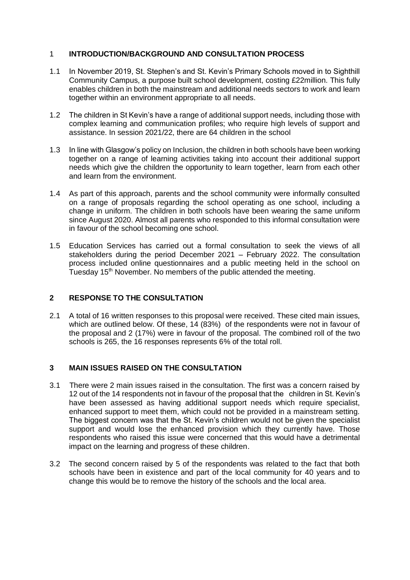## 1 **INTRODUCTION/BACKGROUND AND CONSULTATION PROCESS**

- 1.1 In November 2019, St. Stephen's and St. Kevin's Primary Schools moved in to Sighthill Community Campus, a purpose built school development, costing £22million. This fully enables children in both the mainstream and additional needs sectors to work and learn together within an environment appropriate to all needs.
- 1.2 The children in St Kevin's have a range of additional support needs, including those with complex learning and communication profiles; who require high levels of support and assistance. In session 2021/22, there are 64 children in the school
- 1.3 In line with Glasgow's policy on Inclusion, the children in both schools have been working together on a range of learning activities taking into account their additional support needs which give the children the opportunity to learn together, learn from each other and learn from the environment.
- 1.4 As part of this approach, parents and the school community were informally consulted on a range of proposals regarding the school operating as one school, including a change in uniform. The children in both schools have been wearing the same uniform since August 2020. Almost all parents who responded to this informal consultation were in favour of the school becoming one school.
- 1.5 Education Services has carried out a formal consultation to seek the views of all stakeholders during the period December 2021 – February 2022. The consultation process included online questionnaires and a public meeting held in the school on Tuesday 15<sup>th</sup> November. No members of the public attended the meeting.

### **2 RESPONSE TO THE CONSULTATION**

2.1 A total of 16 written responses to this proposal were received. These cited main issues, which are outlined below. Of these, 14 (83%) of the respondents were not in favour of the proposal and 2 (17%) were in favour of the proposal. The combined roll of the two schools is 265, the 16 responses represents 6% of the total roll.

### **3 MAIN ISSUES RAISED ON THE CONSULTATION**

- 3.1 There were 2 main issues raised in the consultation. The first was a concern raised by 12 out of the 14 respondents not in favour of the proposal that the children in St. Kevin's have been assessed as having additional support needs which require specialist, enhanced support to meet them, which could not be provided in a mainstream setting. The biggest concern was that the St. Kevin's children would not be given the specialist support and would lose the enhanced provision which they currently have. Those respondents who raised this issue were concerned that this would have a detrimental impact on the learning and progress of these children.
- 3.2 The second concern raised by 5 of the respondents was related to the fact that both schools have been in existence and part of the local community for 40 years and to change this would be to remove the history of the schools and the local area.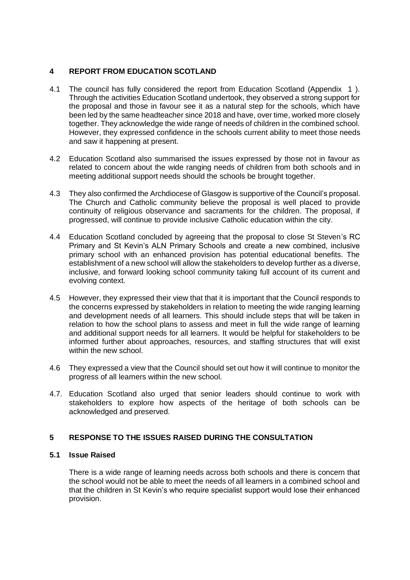# **4 REPORT FROM EDUCATION SCOTLAND**

- 4.1 The council has fully considered the report from Education Scotland (Appendix 1 ). Through the activities Education Scotland undertook, they observed a strong support for the proposal and those in favour see it as a natural step for the schools, which have been led by the same headteacher since 2018 and have, over time, worked more closely together. They acknowledge the wide range of needs of children in the combined school. However, they expressed confidence in the schools current ability to meet those needs and saw it happening at present.
- 4.2 Education Scotland also summarised the issues expressed by those not in favour as related to concern about the wide ranging needs of children from both schools and in meeting additional support needs should the schools be brought together.
- 4.3 They also confirmed the Archdiocese of Glasgow is supportive of the Council's proposal. The Church and Catholic community believe the proposal is well placed to provide continuity of religious observance and sacraments for the children. The proposal, if progressed, will continue to provide inclusive Catholic education within the city.
- 4.4 Education Scotland concluded by agreeing that the proposal to close St Steven's RC Primary and St Kevin's ALN Primary Schools and create a new combined, inclusive primary school with an enhanced provision has potential educational benefits. The establishment of a new school will allow the stakeholders to develop further as a diverse, inclusive, and forward looking school community taking full account of its current and evolving context.
- 4.5 However, they expressed their view that that it is important that the Council responds to the concerns expressed by stakeholders in relation to meeting the wide ranging learning and development needs of all learners. This should include steps that will be taken in relation to how the school plans to assess and meet in full the wide range of learning and additional support needs for all learners. It would be helpful for stakeholders to be informed further about approaches, resources, and staffing structures that will exist within the new school.
- 4.6 They expressed a view that the Council should set out how it will continue to monitor the progress of all learners within the new school.
- 4.7. Education Scotland also urged that senior leaders should continue to work with stakeholders to explore how aspects of the heritage of both schools can be acknowledged and preserved.

# **5 RESPONSE TO THE ISSUES RAISED DURING THE CONSULTATION**

#### **5.1 Issue Raised**

There is a wide range of learning needs across both schools and there is concern that the school would not be able to meet the needs of all learners in a combined school and that the children in St Kevin's who require specialist support would lose their enhanced provision.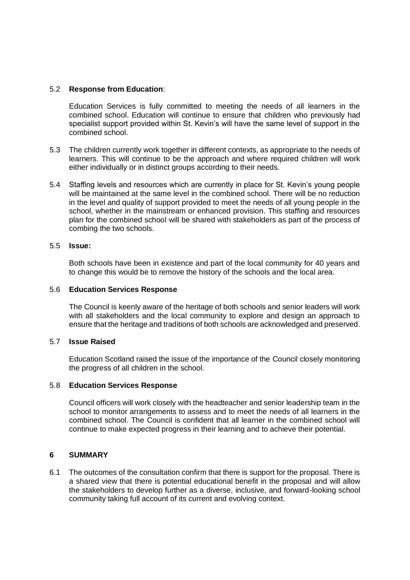### 5.2 **Response from Education**:

Education Services is fully committed to meeting the needs of all learners in the combined school. Education will continue to ensure that children who previously had specialist support provided within St. Kevin's will have the same level of support in the combined school.

- 5.3 The children currently work together in different contexts, as appropriate to the needs of learners. This will continue to be the approach and where required children will work either individually or in distinct groups according to their needs.
- 5.4 Staffing levels and resources which are currently in place for St. Kevin's young people will be maintained at the same level in the combined school. There will be no reduction in the level and quality of support provided to meet the needs of all young people in the school, whether in the mainstream or enhanced provision. This staffing and resources plan for the combined school will be shared with stakeholders as part of the process of combing the two schools.

### 5.5 **Issue:**

Both schools have been in existence and part of the local community for 40 years and to change this would be to remove the history of the schools and the local area.

### 5.6 **Education Services Response**

The Council is keenly aware of the heritage of both schools and senior leaders will work with all stakeholders and the local community to explore and design an approach to ensure that the heritage and traditions of both schools are acknowledged and preserved.

### 5.7 **Issue Raised**

Education Scotland raised the issue of the importance of the Council closely monitoring the progress of all children in the school.

### 5.8 **Education Services Response**

Council officers will work closely with the headteacher and senior leadership team in the school to monitor arrangements to assess and to meet the needs of all learners in the combined school. The Council is confident that all learner in the combined school will continue to make expected progress in their learning and to achieve their potential.

#### **6 SUMMARY**

6.1 The outcomes of the consultation confirm that there is support for the proposal. There is a shared view that there is potential educational benefit in the proposal and will allow the stakeholders to develop further as a diverse, inclusive, and forward-looking school community taking full account of its current and evolving context.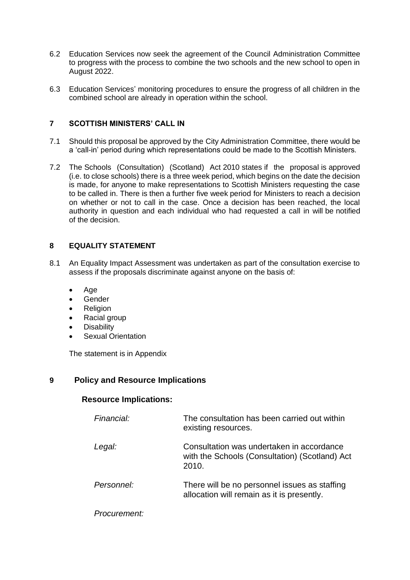- 6.2 Education Services now seek the agreement of the Council Administration Committee to progress with the process to combine the two schools and the new school to open in August 2022.
- 6.3 Education Services' monitoring procedures to ensure the progress of all children in the combined school are already in operation within the school.

## **7 SCOTTISH MINISTERS' CALL IN**

- 7.1 Should this proposal be approved by the City Administration Committee, there would be a 'call-in' period during which representations could be made to the Scottish Ministers.
- 7.2 The Schools (Consultation) (Scotland) Act 2010 states if the proposal is approved (i.e. to close schools) there is a three week period, which begins on the date the decision is made, for anyone to make representations to Scottish Ministers requesting the case to be called in. There is then a further five week period for Ministers to reach a decision on whether or not to call in the case. Once a decision has been reached, the local authority in question and each individual who had requested a call in will be notified of the decision.

## **8 EQUALITY STATEMENT**

- 8.1 An Equality Impact Assessment was undertaken as part of the consultation exercise to assess if the proposals discriminate against anyone on the basis of:
	- Age
	- **Gender**
	- **Religion**
	- Racial group
	- **Disability**
	- **Sexual Orientation**

The statement is in Appendix

# **9 Policy and Resource Implications**

# **Resource Implications:**

| Financial:   | The consultation has been carried out within<br>existing resources.                                  |
|--------------|------------------------------------------------------------------------------------------------------|
| Legal:       | Consultation was undertaken in accordance<br>with the Schools (Consultation) (Scotland) Act<br>2010. |
| Personnel:   | There will be no personnel issues as staffing<br>allocation will remain as it is presently.          |
| Procurement: |                                                                                                      |